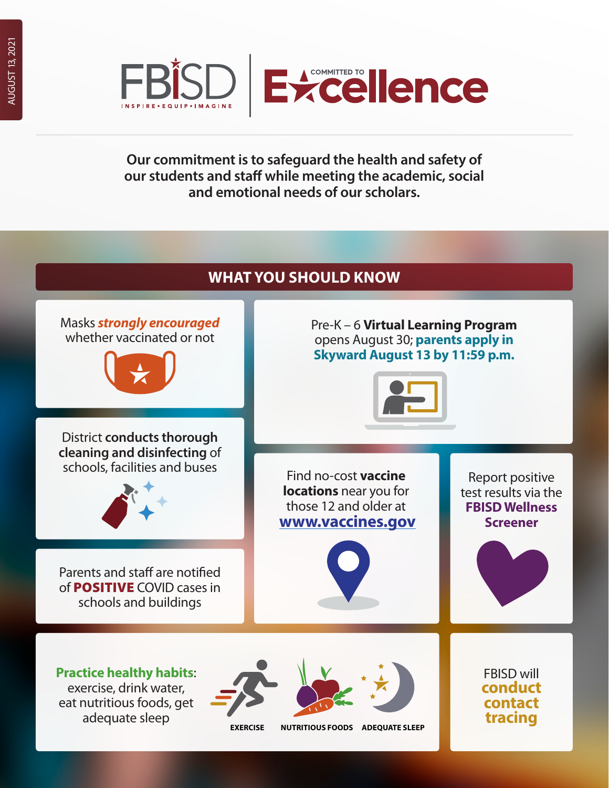



**Our commitment is to safeguard the health and safety of our students and staff while meeting the academic, social and emotional needs of our scholars.**

## **WHAT YOU SHOULD KNOW**